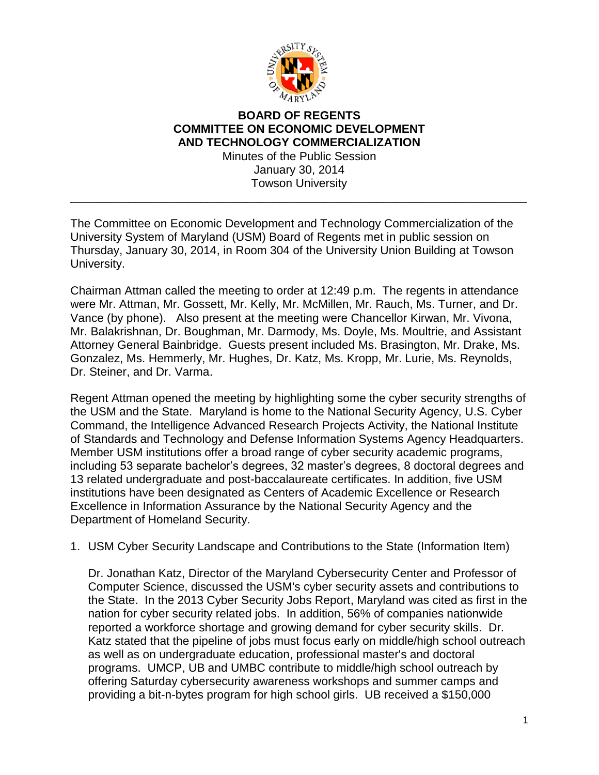

## **BOARD OF REGENTS COMMITTEE ON ECONOMIC DEVELOPMENT AND TECHNOLOGY COMMERCIALIZATION** Minutes of the Public Session

January 30, 2014 Towson University

\_\_\_\_\_\_\_\_\_\_\_\_\_\_\_\_\_\_\_\_\_\_\_\_\_\_\_\_\_\_\_\_\_\_\_\_\_\_\_\_\_\_\_\_\_\_\_\_\_\_\_\_\_\_\_\_\_\_\_\_\_\_\_\_\_\_\_\_\_\_

The Committee on Economic Development and Technology Commercialization of the University System of Maryland (USM) Board of Regents met in public session on Thursday, January 30, 2014, in Room 304 of the University Union Building at Towson University.

Chairman Attman called the meeting to order at 12:49 p.m. The regents in attendance were Mr. Attman, Mr. Gossett, Mr. Kelly, Mr. McMillen, Mr. Rauch, Ms. Turner, and Dr. Vance (by phone). Also present at the meeting were Chancellor Kirwan, Mr. Vivona, Mr. Balakrishnan, Dr. Boughman, Mr. Darmody, Ms. Doyle, Ms. Moultrie, and Assistant Attorney General Bainbridge. Guests present included Ms. Brasington, Mr. Drake, Ms. Gonzalez, Ms. Hemmerly, Mr. Hughes, Dr. Katz, Ms. Kropp, Mr. Lurie, Ms. Reynolds, Dr. Steiner, and Dr. Varma.

Regent Attman opened the meeting by highlighting some the cyber security strengths of the USM and the State. Maryland is home to the National Security Agency, U.S. Cyber Command, the Intelligence Advanced Research Projects Activity, the National Institute of Standards and Technology and Defense Information Systems Agency Headquarters. Member USM institutions offer a broad range of cyber security academic programs, including 53 separate bachelor's degrees, 32 master's degrees, 8 doctoral degrees and 13 related undergraduate and post-baccalaureate certificates. In addition, five USM institutions have been designated as Centers of Academic Excellence or Research Excellence in Information Assurance by the National Security Agency and the Department of Homeland Security.

## 1. USM Cyber Security Landscape and Contributions to the State (Information Item)

Dr. Jonathan Katz, Director of the Maryland Cybersecurity Center and Professor of Computer Science, discussed the USM's cyber security assets and contributions to the State. In the 2013 Cyber Security Jobs Report, Maryland was cited as first in the nation for cyber security related jobs. In addition, 56% of companies nationwide reported a workforce shortage and growing demand for cyber security skills. Dr. Katz stated that the pipeline of jobs must focus early on middle/high school outreach as well as on undergraduate education, professional master's and doctoral programs. UMCP, UB and UMBC contribute to middle/high school outreach by offering Saturday cybersecurity awareness workshops and summer camps and providing a bit-n-bytes program for high school girls. UB received a \$150,000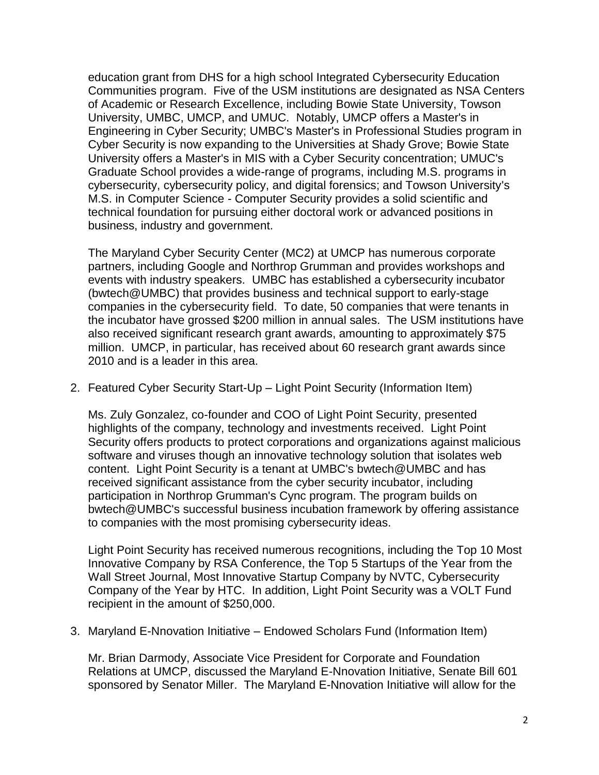education grant from DHS for a high school Integrated Cybersecurity Education Communities program. Five of the USM institutions are designated as NSA Centers of Academic or Research Excellence, including Bowie State University, Towson University, UMBC, UMCP, and UMUC. Notably, UMCP offers a Master's in Engineering in Cyber Security; UMBC's Master's in Professional Studies program in Cyber Security is now expanding to the Universities at Shady Grove; Bowie State University offers a Master's in MIS with a Cyber Security concentration; UMUC's Graduate School provides a wide-range of programs, including M.S. programs in cybersecurity, cybersecurity policy, and digital forensics; and Towson University's M.S. in Computer Science - Computer Security provides a solid scientific and technical foundation for pursuing either doctoral work or advanced positions in business, industry and government.

The Maryland Cyber Security Center (MC2) at UMCP has numerous corporate partners, including Google and Northrop Grumman and provides workshops and events with industry speakers. UMBC has established a cybersecurity incubator (bwtech@UMBC) that provides business and technical support to early-stage companies in the cybersecurity field. To date, 50 companies that were tenants in the incubator have grossed \$200 million in annual sales. The USM institutions have also received significant research grant awards, amounting to approximately \$75 million. UMCP, in particular, has received about 60 research grant awards since 2010 and is a leader in this area.

2. Featured Cyber Security Start-Up – Light Point Security (Information Item)

Ms. Zuly Gonzalez, co-founder and COO of Light Point Security, presented highlights of the company, technology and investments received. Light Point Security offers products to protect corporations and organizations against malicious software and viruses though an innovative technology solution that isolates web content. Light Point Security is a tenant at UMBC's bwtech@UMBC and has received significant assistance from the cyber security incubator, including participation in Northrop Grumman's Cync program. The program builds on bwtech@UMBC's successful business incubation framework by offering assistance to companies with the most promising cybersecurity ideas.

Light Point Security has received numerous recognitions, including the Top 10 Most Innovative Company by RSA Conference, the Top 5 Startups of the Year from the Wall Street Journal, Most Innovative Startup Company by NVTC, Cybersecurity Company of the Year by HTC. In addition, Light Point Security was a VOLT Fund recipient in the amount of \$250,000.

3. Maryland E-Nnovation Initiative – Endowed Scholars Fund (Information Item)

Mr. Brian Darmody, Associate Vice President for Corporate and Foundation Relations at UMCP, discussed the Maryland E-Nnovation Initiative, Senate Bill 601 sponsored by Senator Miller. The Maryland E-Nnovation Initiative will allow for the